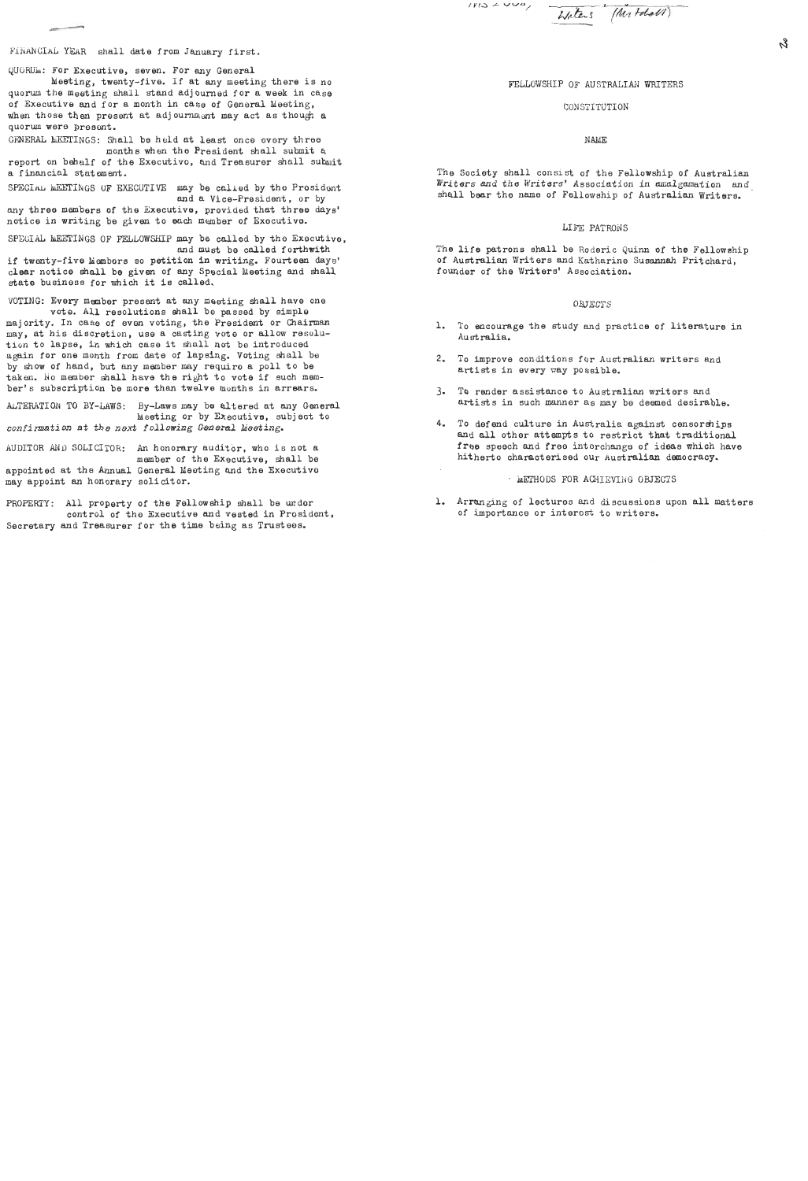$1113 + 440,$ 

Waters (Mr Folal)

FINANCIAL YEAR shall date from January first.

QUORUM: For Executive, seven. For any General

Meeting, twenty-five. If at any meeting there is no quorum the meeting shall stand adjourned for a week in case of Executive and for a month in case of General Meeting, when those then present at adjournment may act as though a quorum were presont.

GENERAL MEETINGS: Shall be held at least once every three months **when** the President shall submit a

report on bebalf of the Exocutivo, and Treasurer shall submit a f inan cia1 st at **am** ent .

SPECIAL MEETINGS OF EXECUTIVE may be called by the President and a Vice-president, or by

any three members of the Executive, provided that three days' notice in writing be given to **each** member of Executive.

SPECIAL MEETINGS OF FELLOWSHIP may be called by the Executive. and must be called forthwith

if twenty-five biembors so petition in writing. Fourteen days' clear notice shall be given of any Special Meeting and shall state business for which it ie called.

VOTING: Every member present at any meeting shall have one vote. All resolutions shall be passed by simple majority. In case of evon voting, the President or Chairman may, at his discretion, use a casting voto or allow resolution to lapse, in which case it shall not be introduced again for one month from date of lapsing. Voting shall be by show of hand, but any member may require a poll to be taken. No member shall have the right to vote if such member's subscription be more than twelve months in arrears.

ALTERATION TO BY-LAWS: By-Laws may be altered at any General keeting or by Executive, subject to confirmation at the next following General Meeting.

nUDITOR AND SOLICITOR: An honorary auditor, who is not a member of the Executive, shall be

appointed at the **Annual** General Ueoting and the Executivo may appoint an honorary solicitor.

PROPERTY: A11 property of the Fellowship shall be undor control of tho Executive and vested in Prosidont, Secretary and Treasurer for the time being as Trustees.

FELLOWSHIP OF AUSTRALIAN WRITERS

# CONSTITUTION

## **NAME**

The Society shall consist of the Fellowship of Australian Writers and the Writers' Association in amalgamation and shall bear the name of Fellowship of Australian Writers.

### LIFE PATRONS

The life patrons shall be Roderic Quinn of the Fellowship of Australian Writers and Katharine Susannah Prit chard, founder of the Writers' Association.

#### OBJECTS

- 1. To encourage the study **and** practice of literature in Australia.
- 2. To improve conditions for Australian writers and artists in every nay possible.
- 3. To render assistance to Australian writers and artists in such manner as may be deemed desirable.
- 4. To defend culture in Australia against censorships and all other attempts to restrict that traditional free speech and free interchange of ideas which have hitherto characterised our Australian democracy.

### **INETHODS FOR ACHIEVING OBJECTS**

1. Arranging of lectures **and** discussions upon all matters of importance or interost to writers.